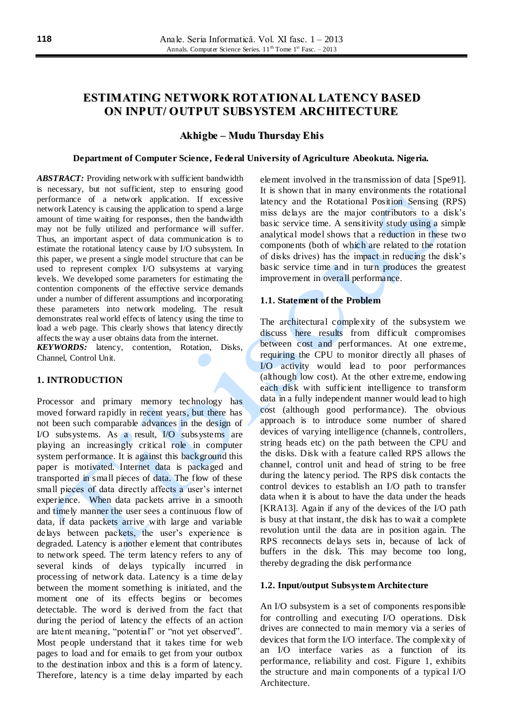# **ESTIMATING NETWORK ROTATIONAL LATENCY BASED ON INPUT/ OUTPUT SUBSYSTEM ARCHITECTURE**

# **Akhigbe – Mudu Thursday Ehis**

## **Department of Computer Science, Federal University of Agriculture Abeokuta. Nigeria.**

*ABSTRACT:* Providing network with sufficient bandwidth is necessary, but not sufficient, step to ensuring good performance of a network application. If excessive network Latency is causing the application to spend a large amount of time waiting for responses, then the bandwidth may not be fully utilized and performance will suffer. Thus, an important aspect of data communication is to estimate the rotational latency cause by I/O subsystem. In this paper, we present a single model structure that can be used to represent complex I/O subsystems at varying levels. We developed some parameters for estimating the contention components of the effective service demands under a number of different assumptions and incorporating these parameters into network modeling. The result demonstrates real world effects of latency using the time to load a web page. This clearly shows that latency directly affects the way a user obtains data from the internet.

*KEYWORDS:* latency, contention, Rotation, Disks, Channel, Control Unit.

# **1. INTRODUCTION**

Processor and primary memory technology has moved forward rapidly in recent years, but there has not been such comparable advances in the design of I/O subsystems. As a result, I/O subsystems are playing an increasingly critical role in computer system performance. It is against this background this paper is motivated. Internet data is packaged and transported in small pieces of data. The flow of these small pieces of data directly affects a user's internet experience. When data packets arrive in a smooth and timely manner the user sees a continuous flow of data, if data packets arrive with large and variable delays between packets, the user's experience is degraded. Latency is another element that contributes to network speed. The term latency refers to any of several kinds of delays typically incurred in processing of network data. Latency is a time delay between the moment something is initiated, and the moment one of its effects begins or becomes detectable. The word is derived from the fact that during the period of latency the effects of an action are latent meaning, "potential" or "not yet observed". Most people understand that it takes time for web pages to load and for emails to get from your outbox to the destination inbox and this is a form of latency. Therefore, latency is a time delay imparted by each element involved in the transmission of data [Spe91]. It is shown that in many environments the rotational latency and the Rotational Position Sensing (RPS) miss delays are the major contributors to a disk's basic service time. A sensitivity study using a simple analytical model shows that a reduction in these two components (both of which are related to the rotation of disks drives) has the impact in reducing the disk's basic service time and in turn produces the greatest improvement in overall performance.

#### **1.1. Statement of the Problem**

The architectural complexity of the subsystem we discuss here results from difficult compromises between cost and performances. At one extreme, requiring the CPU to monitor directly all phases of I/O activity would lead to poor performances (although low cost). At the other extreme, endowing each disk with sufficient intelligence to transform data in a fully independent manner would lead to high cost (although good performance). The obvious approach is to introduce some number of shared devices of varying intelligence (channels, controllers, string heads etc) on the path between the CPU and the disks. Disk with a feature called RPS allows the channel, control unit and head of string to be free during the latency period. The RPS disk contacts the control devices to establish an I/O path to transfer data when it is about to have the data under the heads [KRA13]. Again if any of the devices of the I/O path is busy at that instant, the disk has to wait a complete revolution until the data are in position again. The RPS reconnects delays sets in, because of lack of buffers in the disk. This may become too long, thereby degrading the disk performance

#### **1.2. Input/output Subsystem Architecture**

An I/O subsystem is a set of components responsible for controlling and executing I/O operations. Disk drives are connected to main memory via a series of devices that form the I/O interface. The complexity of an I/O interface varies as a function of its performance, reliability and cost. Figure 1, exhibits the structure and main components of a typical I/O Architecture.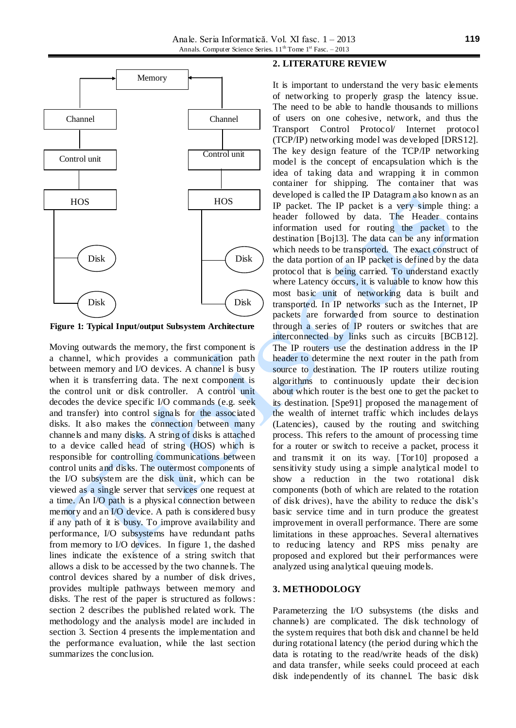

**Figure 1: Typical Input/output Subsystem Architecture**

Moving outwards the memory, the first component is a channel, which provides a communication path between memory and I/O devices. A channel is busy when it is transferring data. The next component is the control unit or disk controller. A control unit decodes the device specific I/O commands (e.g. seek and transfer) into control signals for the associated disks. It also makes the connection between many channels and many disks. A string of disks is attached to a device called head of string (HOS) which is responsible for controlling communications between control units and disks. The outermost components of the I/O subsystem are the disk unit, which can be viewed as a single server that services one request at a time. An I/O path is a physical connection between memory and an I/O device. A path is considered busy if any path of it is busy. To improve availability and performance, I/O subsystems have redundant paths from memory to I/O devices. In figure 1, the dashed lines indicate the existence of a string switch that allows a disk to be accessed by the two channels. The control devices shared by a number of disk drives, provides multiple pathways between memory and disks. The rest of the paper is structured as follows : section 2 describes the published related work. The methodology and the analysis model are included in section 3. Section 4 presents the implementation and the performance evaluation, while the last section summarizes the conclusion.

# **2. LITERATURE REVIEW**

It is important to understand the very basic elements of networking to properly grasp the latency issue. The need to be able to handle thousands to millions of users on one cohesive, network, and thus the Transport Control Protocol/ Internet protocol (TCP/IP) networking model was developed [DRS12]. The key design feature of the TCP/IP networking model is the concept of encapsulation which is the idea of taking data and wrapping it in common container for shipping. The container that was developed is called the IP Datagram also known as an IP packet. The IP packet is a very simple thing: a header followed by data. The Header contains information used for routing the packet to the destination [Boj13]. The data can be any information which needs to be transported. The exact construct of the data portion of an IP packet is defined by the data protocol that is being carried. To understand exactly where Latency occurs, it is valuable to know how this most basic unit of networking data is built and transported. In IP networks such as the Internet, IP packets are forwarded from source to destination through a series of IP routers or switches that are interconnected by links such as circuits [BCB12]. The IP routers use the destination address in the IP header to determine the next router in the path from source to destination. The IP routers utilize routing algorithms to continuously update their decision about which router is the best one to get the packet to its destination. [Spe91] proposed the management of the wealth of internet traffic which includes delays (Latencies), caused by the routing and switching process. This refers to the amount of processing time for a router or switch to receive a packet, process it and transmit it on its way. [Tor10] proposed a sensitivity study using a simple analytical model to show a reduction in the two rotational disk components (both of which are related to the rotation of disk drives), have the ability to reduce the disk's basic service time and in turn produce the greatest improvement in overall performance. There are some limitations in these approaches. Several alternatives to reducing latency and RPS miss penalty are proposed and explored but their performances were analyzed using analytical queuing models.

#### **3. METHODOLOGY**

Parameterzing the I/O subsystems (the disks and channels) are complicated. The disk technology of the system requires that both disk and channel be held during rotational latency (the period during which the data is rotating to the read/write heads of the disk) and data transfer, while seeks could proceed at each disk independently of its channel. The basic disk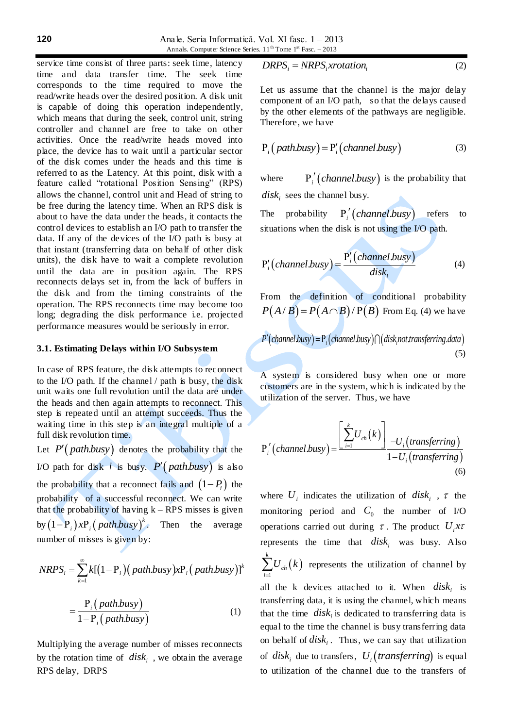Anale. Seria Informatică. Vol. XI fasc. 1 – 2013 Annals. Computer Science Series. 11<sup>th</sup> Tome 1<sup>st</sup> Fasc. - 2013

service time consist of three parts: seek time, latency time and data transfer time. The seek time corresponds to the time required to move the read/write heads over the desired position. A disk unit is capable of doing this operation independently, which means that during the seek, control unit, string controller and channel are free to take on other activities. Once the read/write heads moved into place, the device has to wait until a particular sector of the disk comes under the heads and this time is referred to as the Latency. At this point, disk with a feature called "rotational Position Sensing" (RPS) allows the channel, control unit and Head of string to be free during the latency time. When an RPS disk is about to have the data under the heads, it contacts the control devices to establish an I/O path to transfer the data. If any of the devices of the I/O path is busy at that instant (transferring data on behalf of other disk units), the disk have to wait a complete revolution until the data are in position again. The RPS reconnects delays set in, from the lack of buffers in the disk and from the timing constraints of the operation. The RPS reconnects time may become too long; degrading the disk performance i.e. projected performance measures would be seriously in error.

## **3.1. Estimating Delays within I/O Subsystem**

In case of RPS feature, the disk attempts to reconnect to the I/O path. If the channel / path is busy, the disk unit waits one full revolution until the data are under the heads and then again attempts to reconnect. This step is repeated until an attempt succeeds. Thus the waiting time in this step is an integral multiple of a full disk revolution time.

Let  $P'$  (*path.busy*) denotes the probability that the I/O path for disk *i* is busy.  $P'(path.busy)$  is also the probability that a reconnect fails and  $(1 - P_i)$  the probability of a successful reconnect. We can write that the probability of having  $k - RPS$  misses is given by  $(1-P_i)xP_i(path.busy)^k$ . Then the average number of misses is given by:

$$
NRPS_i = \sum_{k=1}^{\infty} k[(1 - P_i)(path.busy)xP_i(path.busy)]^k
$$

$$
= \frac{P_i(path.busy)}{1 - P_i(path.busy)}
$$
(1)

Multiplying the average number of misses reconnects by the rotation time of  $\text{disk}_i$ , we obtain the average RPS delay, DRPS

$$
DRPS_i = NRPS_i x rotation_i \tag{2}
$$

Let us assume that the channel is the major delay component of an I/O path, so that the delays caused by the other elements of the pathways are negligible. Therefore, we have

$$
P_i\big(\text{path.busy}\big) = P'_i\big(\text{channel.busy}\big) \tag{3}
$$

where  $P'_i$  (*channel busy*) is the probability that  $disk<sub>i</sub>$  sees the channel busy.

The probability  $P'_i$  (*channel busy*) refers to situations when the disk is not using the I/O path.

$$
P'_{i}(channel.busy) = \frac{P'_{i}(channel.busy)}{disk_{i}} \tag{4}
$$

From the definition of conditional probability *P* $(A/B) = P(A \cap B)/P(B)$  From Eq. (4) we have

$$
P'(channel.buy) = P_i(charnel.busy) \cap (disk.nottransferring.data)
$$
\n(5)

A system is considered busy when one or more customers are in the system, which is indicated by the utilization of the server. Thus, we have

$$
P'_{i}\left(channel.busy\right) = \frac{\left[\sum_{i=1}^{k}U_{ch}(k)\right]_{-U_{i}\left(transfering\right)}}{1-U_{i}\left(transferring\right)}
$$
\n(6)

where  $U_i$  indicates the utilization of  $disk_i$ ,  $\tau$  the monitoring period and  $C_0$  the number of I/O operations carried out during  $\tau$ . The product  $U_i$ *x* $\tau$ represents the time that  $disk_i$  was busy. Also  $(k)$ 1 *k ch i*  $U_{ch} (k$  $\sum_{i=1} U_{ch}(k)$  represents the utilization of channel by all the k devices attached to it. When  $disk_i$  is transferring data, it is using the channel, which means that the time  $\left\langle disk\right\rangle$  is dedicated to transferring data is equal to the time the channel is busy transferring data on behalf of  $disk<sub>i</sub>$ . Thus, we can say that utilization of  $disk_i$  due to transfers,  $U_i$  (*transferring*) is equal to utilization of the channel due to the transfers of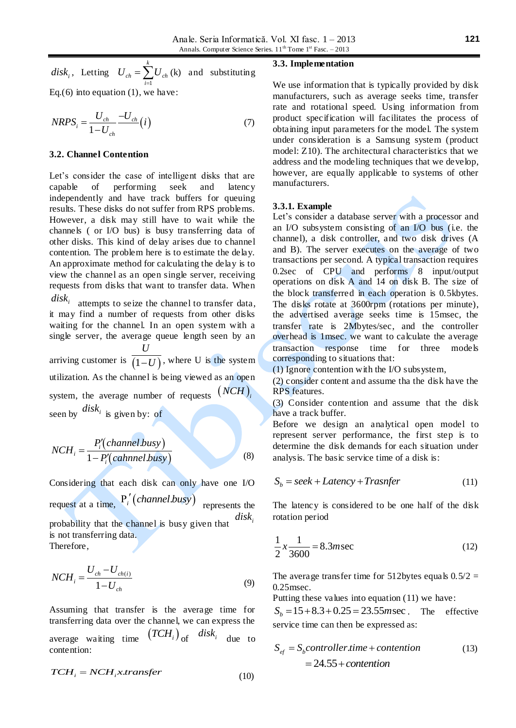*<sup>i</sup> disk* , Letting 1 *k*  $U_{ch} = \sum U_{ch}$ *i*  $=\sum_{i=1} U_{ch}$  (k) and substituting Eq.(6) into equation  $(1)$ , we have:

$$
NRPS_i = \frac{U_{ch}}{1 - U_{ch}} \frac{-U_{ch}}{i} (i)
$$
 (7)

#### **3.2. Channel Contention**

Let's consider the case of intelligent disks that are capable of performing seek and latency independently and have track buffers for queuing results. These disks do not suffer from RPS problems. However, a disk may still have to wait while the channels ( or I/O bus) is busy transferring data of other disks. This kind of delay arises due to channel contention. The problem here is to estimate the delay. An approximate method for calculating the delay is to view the channel as an open single server, receiving requests from disks that want to transfer data. When

 $disk<sub>i</sub>$  attempts to seize the channel to transfer data, it may find a number of requests from other disks waiting for the channel. In an open system with a single server, the average queue length seen by an

arriving customer is  $\overline{(1-U)}$ , where U is the system *U* utilization. As the channel is being viewed as an open system, the average number of requests  $(NCH)$ seen by  $\left| \frac{disk_i}{\text{is given by}} \right|$  of

$$
NCH_i = \frac{P'_i(channel.busy)}{1 - P'_i(cahnnel.busy)}
$$
(8)

Considering that each disk can only have one I/O request at a time,  $P'_i$  (*channel busy*) represents the probability that the channel is busy given that *<sup>i</sup> disk* is not transferring data. Therefore,

$$
NCH_i = \frac{U_{ch} - U_{ch(i)}}{1 - U_{ch}}
$$
\n(9)

Assuming that transfer is the average time for transferring data over the channel, we can express the average waiting time  $(TCH_i)_{\text{of}}$  *disk<sub>i*</sub> due to contention:

$$
TCH_i = NCH_i x. transfer
$$
 (10)

#### **3.3. Implementation**

We use information that is typically provided by disk manufacturers, such as average seeks time, transfer rate and rotational speed. Using information from product specification will facilitates the process of obtaining input parameters for the model. The system under consideration is a Samsung system (product model: Z10). The architectural characteristics that we address and the modeling techniques that we develop, however, are equally applicable to systems of other manufacturers.

## **3.3.1. Example**

Let's consider a database server with a processor and an I/O subsystem consisting of an I/O bus (i.e. the channel), a disk controller, and two disk drives (A and B). The server executes on the average of two transactions per second. A typical transaction requires 0.2sec of CPU and performs 8 input/output operations on disk A and 14 on disk B. The size of the block transferred in each operation is 0.5kbytes. The disks rotate at 3600rpm (rotations per minute), the advertised average seeks time is 15msec, the transfer rate is 2Mbytes/sec, and the controller overhead is 1msec. we want to calculate the average transaction response time for three models corresponding to situations that:

(1) Ignore contention with the I/O subsystem,

(2) consider content and assume tha the disk have the RPS features.

(3) Consider contention and assume that the disk have a track buffer.

Before we design an analytical open model to represent server performance, the first step is to determine the disk demands for each situation under analysis. The basic service time of a disk is:

$$
S_b = seek + Latency + Transfer
$$
 (11)

The latency is considered to be one half of the disk rotation period

$$
\frac{1}{2}x\frac{1}{3600} = 8.3m\sec
$$
 (12)

The average transfer time for 512bytes equals  $0.5/2 =$ 0.25msec.

Putting these values into equation (11) we have:

Putting these values into equation (11) we have:<br> $S_b = 15 + 8.3 + 0.25 = 23.55$  msec. The effective service time can then be expressed as:

$$
S_{ef} = S_b controller.time + contention
$$
\n
$$
= 24.55 + contention
$$
\n(13)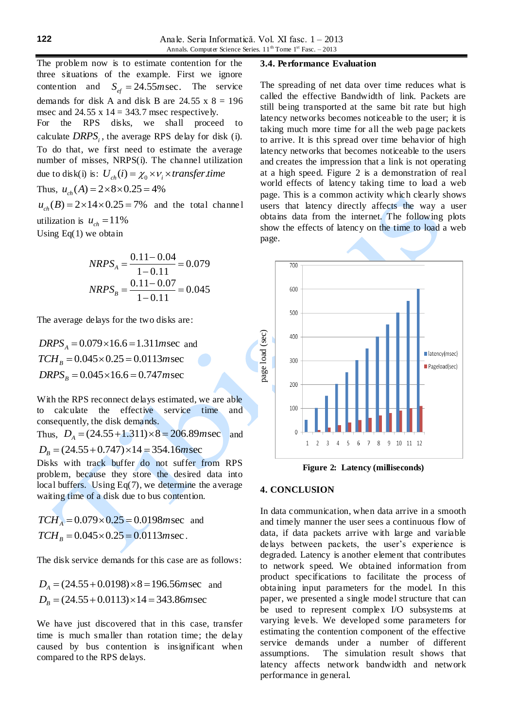The problem now is to estimate contention for the three situations of the example. First we ignore contention and  $S_{ef} = 24.55$ *m* sec. The service demands for disk A and disk B are  $24.55 \times 8 = 196$ msec and 24.55 x  $14 = 343.7$  msec respectively. For the RPS disks, we shall proceed to calculate  $DRPS_i$ , the average RPS delay for disk (i). To do that, we first need to estimate the average number of misses, NRPS(i). The channel utilization number of misses, NRPS(1). The channel utilized<br>due to disk(i) is:  $U_{ch}(i) = \chi_0 \times V_i \times transfer.time$ Thus, *u*<sub>ch</sub> (*A*) = 2×8×0.25 = 4%<br>  $u_{ch}(B) = 2 \times 14 \times 0.25 = 7\%$  and  $u_{ab}(B) = 2 \times 14 \times 0.25 = 7\%$  and the total channel

utilization is  $u_{ch} = 11\%$ Using Eq(1) we obtain

$$
NRPS_A = \frac{0.11 - 0.04}{1 - 0.11} = 0.079
$$
  

$$
NRPS_B = \frac{0.11 - 0.07}{1 - 0.11} = 0.045
$$

The average delays for the two disks are:

 $DRPS_A = 0.079 \times 16.6 = 1.311$  *msec* and  $TCH_B = 0.045 \times 0.25 = 0.0113$  msec<br>*DRPS*<sub>*B*</sub> = 0.045×16.6 = 0.747 msec

With the RPS reconnect delays estimated, we are able to calculate the effective service time and consequently, the disk demands.

consequently, the disk demands.<br>Thus,  $D_A = (24.55 + 1.311) \times 8 = 206.89$  msec and (24.55 + 1.311)  $\times$  8 = 206.89*r*<br>  $D_B = (24.55 + 0.747) \times 14 = 354.16$  *msec* 

Disks with track buffer do not suffer from RPS problem, because they store the desired data into local buffers. Using Eq(7), we determine the average waiting time of a disk due to bus contention.

 $TCH<sub>A</sub> = 0.079 \times 0.25 = 0.0198$  *m* sec and  $TCH<sub>B</sub> = 0.045 \times 0.25 = 0.0113$  *m* sec.

The disk service demands for this case are as follows:

$$
D_A = (24.55 + 0.0198) \times 8 = 196.56msec \text{ and}
$$
  

$$
D_B = (24.55 + 0.0113) \times 14 = 343.86msec
$$

We have just discovered that in this case, transfer time is much smaller than rotation time; the delay caused by bus contention is insignificant when compared to the RPS delays.

# **3.4. Performance Evaluation**

The spreading of net data over time reduces what is called the effective Bandwidth of link. Packets are still being transported at the same bit rate but high latency networks becomes noticeable to the user; it is taking much more time for all the web page packets to arrive. It is this spread over time behavior of high latency networks that becomes noticeable to the users and creates the impression that a link is not operating at a high speed. Figure 2 is a demonstration of real world effects of latency taking time to load a web page. This is a common activity which clearly shows users that latency directly affects the way a user obtains data from the internet. The following plots show the effects of latency on the time to load a web page.



**Figure 2: Latency (milliseconds)**

## **4. CONCLUSION**

In data communication, when data arrive in a smooth and timely manner the user sees a continuous flow of data, if data packets arrive with large and variable delays between packets, the user's experience is degraded. Latency is another element that contributes to network speed. We obtained information from product specifications to facilitate the process of obtaining input parameters for the model. In this paper, we presented a single model structure that can be used to represent complex I/O subsystems at varying levels. We developed some parameters for estimating the contention component of the effective service demands under a number of different assumptions. The simulation result shows that latency affects network bandwidth and network and the state of the state of the state of the state of the state of the state of the state of the state of the state of the state of the state of the state of the state of the state of the state of the state of the state